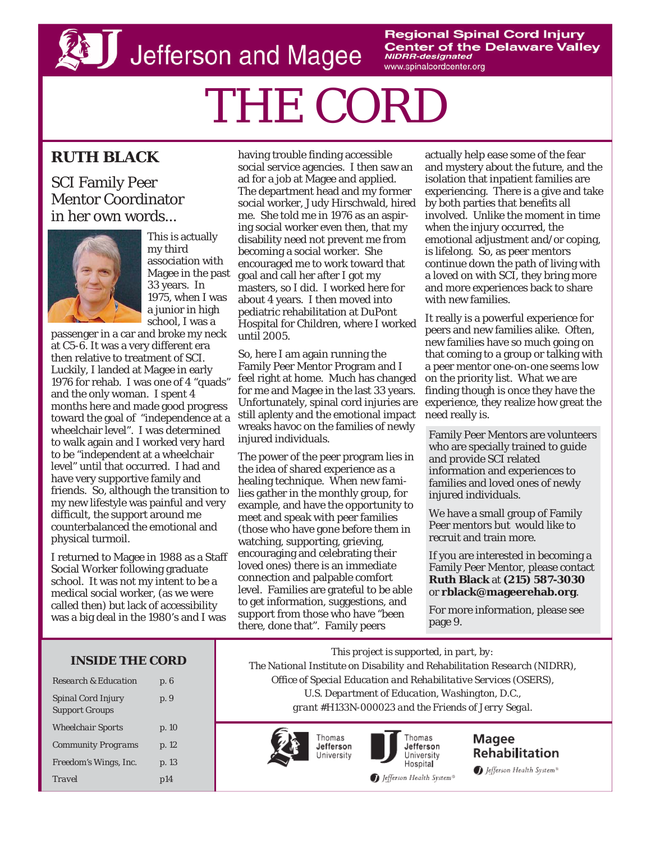**D** Jefferson and Magee

**Regional Spinal Cord Injury Center of the Delaware Valley NIDRR-designated** www.spinalcordcenter.org

# THE CORD

# **RUTH BLACK**

# SCI Family Peer Mentor Coordinator in her own words...



This is actually my third association with Magee in the past 33 years. In 1975, when I was a junior in high school, I was a

passenger in a car and broke my neck at C5-6. It was a very different era then relative to treatment of SCI. Luckily, I landed at Magee in early 1976 for rehab. I was one of 4 "quads" and the only woman. I spent 4 months here and made good progress toward the goal of "independence at a wheelchair level". I was determined to walk again and I worked very hard to be "independent at a wheelchair level" until that occurred. I had and have very supportive family and friends. So, although the transition to my new lifestyle was painful and very difficult, the support around me counterbalanced the emotional and physical turmoil.

I returned to Magee in 1988 as a Staff Social Worker following graduate school. It was not my intent to be a medical social worker, (as we were called then) but lack of accessibility was a big deal in the 1980's and I was

having trouble finding accessible social service agencies. I then saw an ad for a job at Magee and applied. The department head and my former social worker, Judy Hirschwald, hired me. She told me in 1976 as an aspiring social worker even then, that my disability need not prevent me from becoming a social worker. She encouraged me to work toward that goal and call her after I got my masters, so I did. I worked here for about 4 years. I then moved into pediatric rehabilitation at DuPont Hospital for Children, where I worked until 2005.

So, here I am again running the Family Peer Mentor Program and I feel right at home. Much has changed for me and Magee in the last 33 years. Unfortunately, spinal cord injuries are still aplenty and the emotional impact wreaks havoc on the families of newly injured individuals.

The power of the peer program lies in the idea of shared experience as a healing technique. When new families gather in the monthly group, for example, and have the opportunity to meet and speak with peer families (those who have gone before them in watching, supporting, grieving, encouraging and celebrating their loved ones) there is an immediate connection and palpable comfort level. Families are grateful to be able to get information, suggestions, and support from those who have "been there, done that". Family peers

actually help ease some of the fear and mystery about the future, and the isolation that inpatient families are experiencing. There is a give and take by both parties that benefits all involved. Unlike the moment in time when the injury occurred, the emotional adjustment and/or coping, is lifelong. So, as peer mentors continue down the path of living with a loved on with SCI, they bring more and more experiences back to share with new families.

It really is a powerful experience for peers and new families alike. Often, new families have so much going on that coming to a group or talking with a peer mentor one-on-one seems low on the priority list. What we are finding though is once they have the experience, they realize how great the need really is.

Family Peer Mentors are volunteers who are specially trained to guide and provide SCI related information and experiences to families and loved ones of newly injured individuals.

We have a small group of Family Peer mentors but would like to recruit and train more.

If you are interested in becoming a Family Peer Mentor, please contact **Ruth Black** at **(215) 587-3030**  or **rblack@mageerehab.org**.

For more information, please see page 9.

#### **INSIDE THE CORD**

| <b>Research &amp; Education</b>                    | p. 6  |
|----------------------------------------------------|-------|
| <b>Spinal Cord Injury</b><br><b>Support Groups</b> | p. 9  |
| <b>Wheelchair Sports</b>                           | p. 10 |
| <b>Community Programs</b>                          | p. 12 |
| Freedom's Wings, Inc.                              | p. 13 |
| <b>Travel</b>                                      | p14   |

*This project is supported, in part, by: The National Institute on Disability and Rehabilitation Research (NIDRR), Office of Special Education and Rehabilitative Services (OSERS), U.S. Department of Education, Washington, D.C., grant #H133N-000023 and the Friends of Jerry Segal.* 





Thomas Jefferson University Hospital

Magee Rehabilitation Jefferson Health System<sup>®</sup>

Jefferson Health System®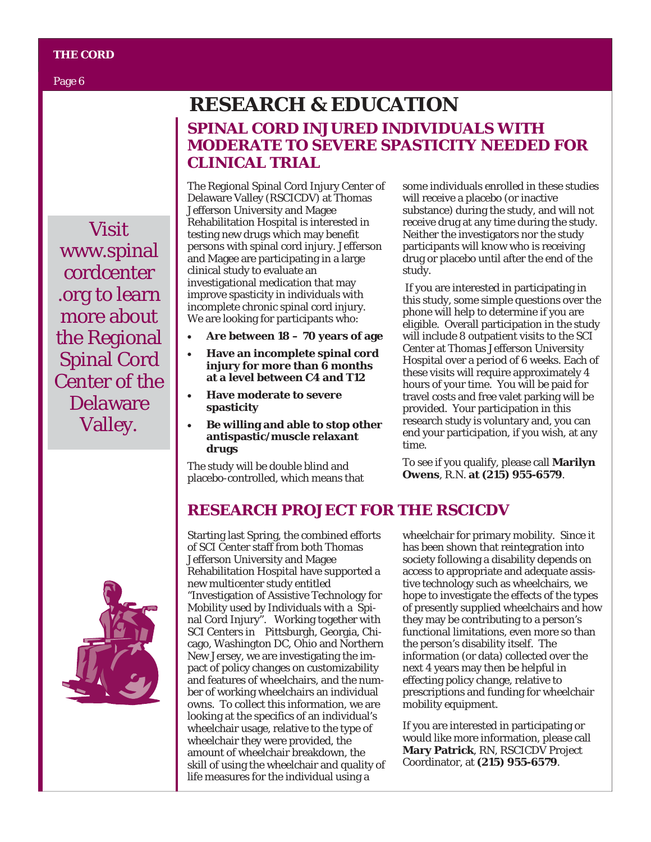Page 6

Visit www.spinal cordcenter .org to learn more about the Regional Spinal Cord Center of the Delaware Valley.

# **SPINAL CORD INJURED INDIVIDUALS WITH MODERATE TO SEVERE SPASTICITY NEEDED FOR CLINICAL TRIAL RESEARCH & EDUCATION**

The Regional Spinal Cord Injury Center of Delaware Valley (RSCICDV) at Thomas Jefferson University and Magee Rehabilitation Hospital is interested in testing new drugs which may benefit persons with spinal cord injury. Jefferson and Magee are participating in a large clinical study to evaluate an investigational medication that may improve spasticity in individuals with incomplete chronic spinal cord injury. We are looking for participants who:

- **Are between 18 70 years of age**
- **Have an incomplete spinal cord injury for more than 6 months at a level between C4 and T12**
- **Have moderate to severe spasticity**
- **Be willing and able to stop other antispastic/muscle relaxant drugs**

The study will be double blind and placebo-controlled, which means that some individuals enrolled in these studies will receive a placebo (or inactive substance) during the study, and will not receive drug at any time during the study. Neither the investigators nor the study participants will know who is receiving drug or placebo until after the end of the study.

 If you are interested in participating in this study, some simple questions over the phone will help to determine if you are eligible. Overall participation in the study will include 8 outpatient visits to the SCI Center at Thomas Jefferson University Hospital over a period of 6 weeks. Each of these visits will require approximately 4 hours of your time. You will be paid for travel costs and free valet parking will be provided. Your participation in this research study is voluntary and, you can end your participation, if you wish, at any time.

To see if you qualify, please call **Marilyn Owens**, R.N. **at (215) 955-6579**.

# **RESEARCH PROJECT FOR THE RSCICDV**

Starting last Spring, the combined efforts of SCI Center staff from both Thomas Jefferson University and Magee Rehabilitation Hospital have supported a new multicenter study entitled "Investigation of Assistive Technology for Mobility used by Individuals with a Spinal Cord Injury". Working together with SCI Centers in Pittsburgh, Georgia, Chicago, Washington DC, Ohio and Northern New Jersey, we are investigating the impact of policy changes on customizability and features of wheelchairs, and the number of working wheelchairs an individual owns. To collect this information, we are looking at the specifics of an individual's wheelchair usage, relative to the type of wheelchair they were provided, the amount of wheelchair breakdown, the skill of using the wheelchair and quality of life measures for the individual using a

wheelchair for primary mobility. Since it has been shown that reintegration into society following a disability depends on access to appropriate and adequate assistive technology such as wheelchairs, we hope to investigate the effects of the types of presently supplied wheelchairs and how they may be contributing to a person's functional limitations, even more so than the person's disability itself. The information (or data) collected over the next 4 years may then be helpful in effecting policy change, relative to prescriptions and funding for wheelchair mobility equipment.

If you are interested in participating or would like more information, please call **Mary Patrick**, RN, RSCICDV Project Coordinator, at **(215) 955-6579**.

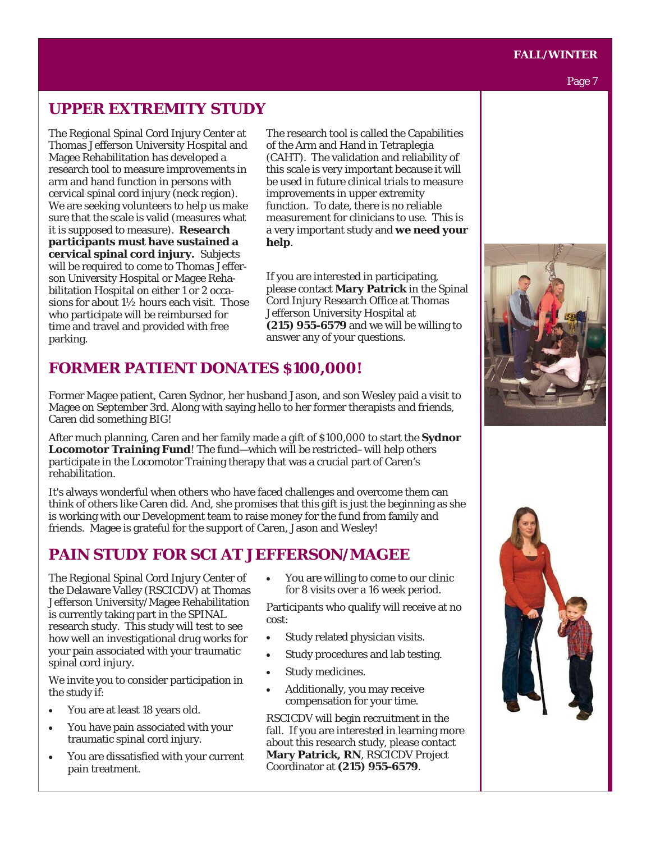#### **FALL/WINTER**

#### Page 7

## **UPPER EXTREMITY STUDY**

The Regional Spinal Cord Injury Center at Thomas Jefferson University Hospital and Magee Rehabilitation has developed a research tool to measure improvements in arm and hand function in persons with cervical spinal cord injury (neck region). We are seeking volunteers to help us make sure that the scale is valid (measures what it is supposed to measure). **Research participants must have sustained a cervical spinal cord injury.** Subjects will be required to come to Thomas Jefferson University Hospital or Magee Rehabilitation Hospital on either 1 or 2 occasions for about 1½ hours each visit. Those who participate will be reimbursed for time and travel and provided with free parking.

The research tool is called the Capabilities of the Arm and Hand in Tetraplegia (CAHT). The validation and reliability of this scale is very important because it will be used in future clinical trials to measure improvements in upper extremity function. To date, there is no reliable measurement for clinicians to use. This is a very important study and **we need your help**.

If you are interested in participating, please contact **Mary Patrick** in the Spinal Cord Injury Research Office at Thomas Jefferson University Hospital at **(215) 955-6579** and we will be willing to answer any of your questions.

## **FORMER PATIENT DONATES \$100,000!**

Former Magee patient, Caren Sydnor, her husband Jason, and son Wesley paid a visit to Magee on September 3rd. Along with saying hello to her former therapists and friends, Caren did something BIG!

After much planning, Caren and her family made a gift of \$100,000 to start the **Sydnor Locomotor Training Fund**! The fund—which will be restricted–will help others participate in the Locomotor Training therapy that was a crucial part of Caren's rehabilitation.

It's always wonderful when others who have faced challenges and overcome them can think of others like Caren did. And, she promises that this gift is just the beginning as she is working with our Development team to raise money for the fund from family and friends. Magee is grateful for the support of Caren, Jason and Wesley!

# **PAIN STUDY FOR SCI AT JEFFERSON/MAGEE**

The Regional Spinal Cord Injury Center of the Delaware Valley (RSCICDV) at Thomas Jefferson University/Magee Rehabilitation is currently taking part in the SPINAL research study. This study will test to see how well an investigational drug works for your pain associated with your traumatic spinal cord injury.

We invite you to consider participation in the study if:

- You are at least 18 years old.
- You have pain associated with your traumatic spinal cord injury.
- You are dissatisfied with your current pain treatment.

• You are willing to come to our clinic for 8 visits over a 16 week period.

Participants who qualify will receive at no cost:

- Study related physician visits.
- Study procedures and lab testing.
- Study medicines.
- Additionally, you may receive compensation for your time.

RSCICDV will begin recruitment in the fall. If you are interested in learning more about this research study, please contact **Mary Patrick, RN**, RSCICDV Project Coordinator at **(215) 955-6579**.



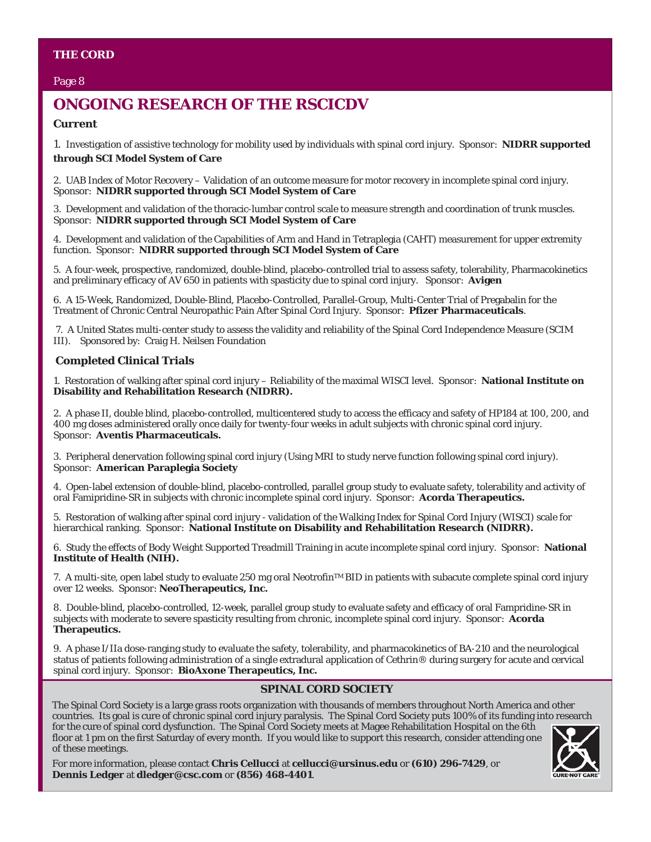#### Page 8

# **ONGOING RESEARCH OF THE RSCICDV**

#### **Current**

1. Investigation of assistive technology for mobility used by individuals with spinal cord injury. *Sponsor*:**NIDRR supported through SCI Model System of Care**

2. UAB Index of Motor Recovery – Validation of an outcome measure for motor recovery in incomplete spinal cord injury. *Sponsor*:**NIDRR supported through SCI Model System of Care** 

3. Development and validation of the thoracic-lumbar control scale to measure strength and coordination of trunk muscles. *Sponsor*:**NIDRR supported through SCI Model System of Care** 

4. Development and validation of the Capabilities of Arm and Hand in Tetraplegia (CAHT) measurement for upper extremity function. *Sponsor*:**NIDRR supported through SCI Model System of Care** 

5. A four-week, prospective, randomized, double-blind, placebo-controlled trial to assess safety, tolerability, Pharmacokinetics and preliminary efficacy of AV 650 in patients with spasticity due to spinal cord injury. *Sponsor*: **Avigen**

6. A 15-Week, Randomized, Double-Blind, Placebo-Controlled, Parallel-Group, Multi-Center Trial of Pregabalin for the Treatment of Chronic Central Neuropathic Pain After Spinal Cord Injury. *Sponsor*:**Pfizer Pharmaceuticals**.

 7. A United States multi-center study to assess the validity and reliability of the Spinal Cord Independence Measure (SCIM III). Sponsored by: Craig H. Neilsen Foundation

#### **Completed Clinical Trials**

1. Restoration of walking after spinal cord injury – Reliability of the maximal WISCI level. *Sponsor*:**National Institute on Disability and Rehabilitation Research (NIDRR).** 

2. A phase II, double blind, placebo-controlled, multicentered study to access the efficacy and safety of HP184 at 100, 200, and 400 mg doses administered orally once daily for twenty-four weeks in adult subjects with chronic spinal cord injury. *Sponsor*: **Aventis Pharmaceuticals.** 

3. Peripheral denervation following spinal cord injury (Using MRI to study nerve function following spinal cord injury). *Sponsor*: **American Paraplegia Society** 

4. Open-label extension of double-blind, placebo-controlled, parallel group study to evaluate safety, tolerability and activity of oral Famipridine-SR in subjects with chronic incomplete spinal cord injury. *Sponsor*: **Acorda Therapeutics.**

5. Restoration of walking after spinal cord injury - validation of the Walking Index for Spinal Cord Injury (WISCI) scale for hierarchical ranking. *Sponsor*:**National Institute on Disability and Rehabilitation Research (NIDRR).**

6. Study the effects of Body Weight Supported Treadmill Training in acute incomplete spinal cord injury. *Sponsor*:**National Institute of Health (NIH).**

7. A multi-site, open label study to evaluate 250 mg oral Neotrofin™ BID in patients with subacute complete spinal cord injury over 12 weeks. *Sponsor*: **NeoTherapeutics, Inc.**

8. Double-blind, placebo-controlled, 12-week, parallel group study to evaluate safety and efficacy of oral Fampridine-SR in subjects with moderate to severe spasticity resulting from chronic, incomplete spinal cord injury. *Sponsor*:**Acorda Therapeutics.**

9. A phase I/IIa dose-ranging study to evaluate the safety, tolerability, and pharmacokinetics of BA-210 and the neurological status of patients following administration of a single extradural application of Cethrin® during surgery for acute and cervical spinal cord injury. *Sponsor*: **BioAxone Therapeutics, Inc.** 

#### **SPINAL CORD SOCIETY**

The Spinal Cord Society is a large grass roots organization with thousands of members throughout North America and other countries. Its goal is cure of chronic spinal cord injury paralysis. The Spinal Cord Society puts 100% of its funding into research for the cure of spinal cord dysfunction. The Spinal Cord Society meets at Magee Rehabilitation Hospital on the 6th floor at 1 pm on the first Saturday of every month. If you would like to support this research, consider attending one of these meetings.

For more information, please contact **Chris Cellucci** at **cellucci@ursinus.edu** or **(610) 296-7429**, or **Dennis Ledger** at **dledger@csc.com** or **(856) 468-4401**.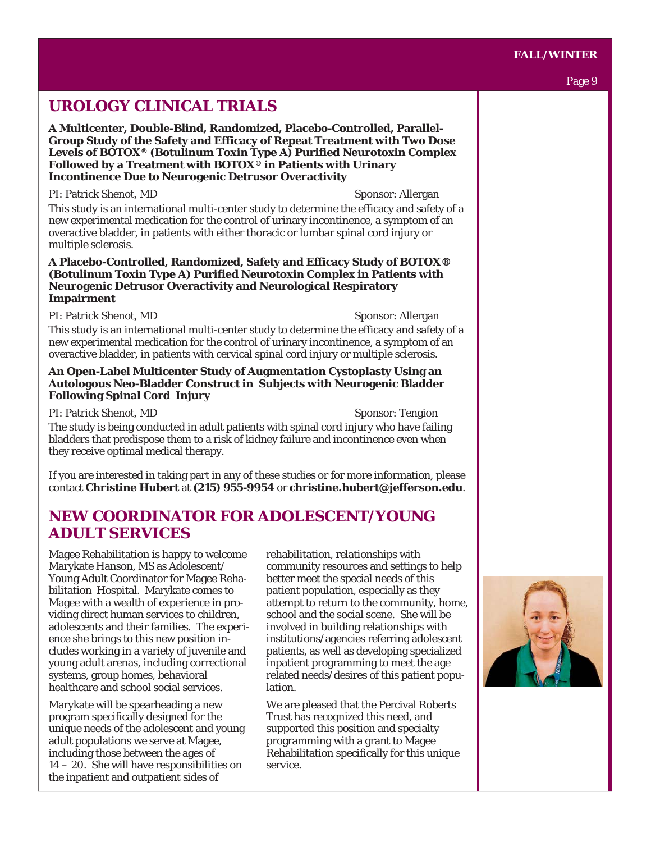#### **FALL/WINTER**

# **UROLOGY CLINICAL TRIALS**

**A Multicenter, Double-Blind, Randomized, Placebo-Controlled, Parallel-Group Study of the Safety and Efficacy of Repeat Treatment with Two Dose Levels of BOTOX® (Botulinum Toxin Type A) Purified Neurotoxin Complex Followed by a Treatment with BOTOX® in Patients with Urinary Incontinence Due to Neurogenic Detrusor Overactivity** 

PI: Patrick Shenot, MD Sponsor: Allergan This study is an international multi-center study to determine the efficacy and safety of a new experimental medication for the control of urinary incontinence, a symptom of an overactive bladder, in patients with either thoracic or lumbar spinal cord injury or multiple sclerosis.

**A Placebo-Controlled, Randomized, Safety and Efficacy Study of BOTOX® (Botulinum Toxin Type A) Purified Neurotoxin Complex in Patients with Neurogenic Detrusor Overactivity and Neurological Respiratory Impairment**

PI: Patrick Shenot, MD Sponsor: Allergan

This study is an international multi-center study to determine the efficacy and safety of a new experimental medication for the control of urinary incontinence, a symptom of an overactive bladder, in patients with cervical spinal cord injury or multiple sclerosis.

#### **An Open-Label Multicenter Study of Augmentation Cystoplasty Using an Autologous Neo-Bladder Construct in Subjects with Neurogenic Bladder Following Spinal Cord Injury**

PI: Patrick Shenot, MD Sponsor: Tengion The study is being conducted in adult patients with spinal cord injury who have failing bladders that predispose them to a risk of kidney failure and incontinence even when they receive optimal medical therapy.

If you are interested in taking part in any of these studies or for more information, please contact **Christine Hubert** at **(215) 955-9954** or **christine.hubert@jefferson.edu**.

# **NEW COORDINATOR FOR ADOLESCENT/YOUNG ADULT SERVICES**

Magee Rehabilitation is happy to welcome Marykate Hanson, MS as Adolescent/ Young Adult Coordinator for Magee Rehabilitation Hospital. Marykate comes to Magee with a wealth of experience in providing direct human services to children, adolescents and their families. The experience she brings to this new position includes working in a variety of juvenile and young adult arenas, including correctional systems, group homes, behavioral healthcare and school social services.

Marykate will be spearheading a new program specifically designed for the unique needs of the adolescent and young adult populations we serve at Magee, including those between the ages of 14 – 20. She will have responsibilities on the inpatient and outpatient sides of

rehabilitation, relationships with community resources and settings to help better meet the special needs of this patient population, especially as they attempt to return to the community, home, school and the social scene. She will be involved in building relationships with institutions/agencies referring adolescent patients, as well as developing specialized inpatient programming to meet the age related needs/desires of this patient population.

We are pleased that the Percival Roberts Trust has recognized this need, and supported this position and specialty programming with a grant to Magee Rehabilitation specifically for this unique service.



#### Page 9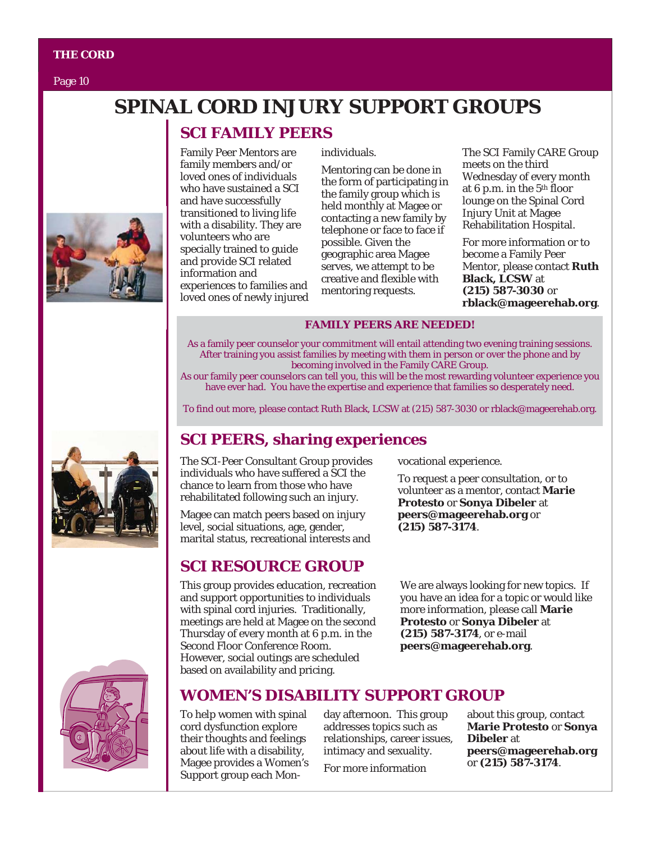Page 10

# **SPINAL CORD INJURY SUPPORT GROUPS**

# **SCI FAMILY PEERS**

Family Peer Mentors are family members and/or loved ones of individuals who have sustained a SCI and have successfully transitioned to living life with a disability. They are volunteers who are specially trained to guide and provide SCI related information and experiences to families and loved ones of newly injured individuals.

Mentoring can be done in the form of participating in the family group which is held monthly at Magee or contacting a new family by telephone or face to face if possible. Given the geographic area Magee serves, we attempt to be creative and flexible with mentoring requests.

The SCI Family CARE Group meets on the third Wednesday of every month at 6 p.m. in the 5th floor lounge on the Spinal Cord Injury Unit at Magee Rehabilitation Hospital.

For more information or to become a Family Peer Mentor, please contact **Ruth Black, LCSW** at **(215) 587-3030** or **rblack@mageerehab.org**.

#### **FAMILY PEERS ARE NEEDED!**

As a family peer counselor your commitment will entail attending two evening training sessions. After training you assist families by meeting with them in person or over the phone and by becoming involved in the Family CARE Group.

As our family peer counselors can tell you, this will be the most rewarding volunteer experience you have ever had. You have the expertise and experience that families so desperately need.

To find out more, please contact Ruth Black, LCSW at (215) 587-3030 or rblack@mageerehab.org.

# **SCI PEERS, sharing experiences**

The SCI-Peer Consultant Group provides individuals who have suffered a SCI the chance to learn from those who have rehabilitated following such an injury.

Magee can match peers based on injury level, social situations, age, gender, marital status, recreational interests and

# **SCI RESOURCE GROUP**

This group provides education, recreation and support opportunities to individuals with spinal cord injuries. Traditionally, meetings are held at Magee on the second Thursday of every month at 6 p.m. in the Second Floor Conference Room. However, social outings are scheduled based on availability and pricing.

vocational experience.

To request a peer consultation, or to volunteer as a mentor, contact **Marie Protesto** or **Sonya Dibeler** at **peers@mageerehab.org** or **(215) 587-3174**.

We are always looking for new topics. If you have an idea for a topic or would like more information, please call **Marie Protesto** or **Sonya Dibeler** at **(215) 587-3174**, or e-mail **peers@mageerehab.org**.

# **WOMEN'S DISABILITY SUPPORT GROUP**

To help women with spinal cord dysfunction explore their thoughts and feelings about life with a disability, Magee provides a Women's Support group each Mon-

day afternoon. This group addresses topics such as relationships, career issues, intimacy and sexuality.

For more information

about this group, contact **Marie Protesto** or **Sonya Dibeler** at **peers@mageerehab.org** or **(215) 587-3174**.





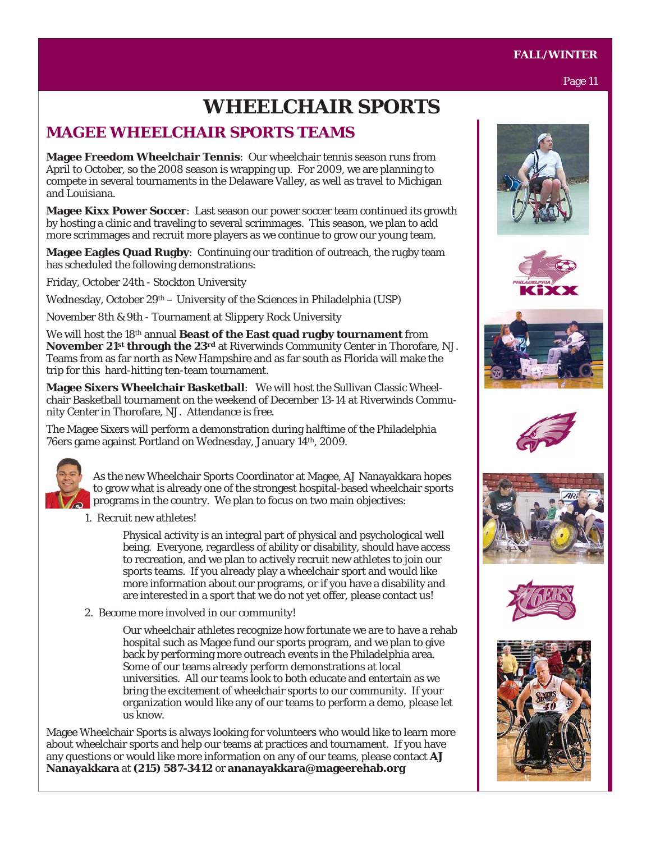# **WHEELCHAIR SPORTS**

# **MAGEE WHEELCHAIR SPORTS TEAMS**

**Magee Freedom Wheelchair Tennis**: Our wheelchair tennis season runs from April to October, so the 2008 season is wrapping up. For 2009, we are planning to compete in several tournaments in the Delaware Valley, as well as travel to Michigan and Louisiana.

**Magee Kixx Power Soccer**: Last season our power soccer team continued its growth by hosting a clinic and traveling to several scrimmages. This season, we plan to add more scrimmages and recruit more players as we continue to grow our young team.

**Magee Eagles Quad Rugby**: Continuing our tradition of outreach, the rugby team has scheduled the following demonstrations:

Friday, October 24th - Stockton University

Wednesday, October 29th – University of the Sciences in Philadelphia (USP)

November 8th & 9th - Tournament at Slippery Rock University

We will host the 18th annual **Beast of the East quad rugby tournament** from **November 21st through the 23rd** at Riverwinds Community Center in Thorofare, NJ. Teams from as far north as New Hampshire and as far south as Florida will make the trip for this hard-hitting ten-team tournament.

**Magee Sixers Wheelchair Basketball**: We will host the Sullivan Classic Wheelchair Basketball tournament on the weekend of December 13-14 at Riverwinds Community Center in Thorofare, NJ. Attendance is free.

The Magee Sixers will perform a demonstration during halftime of the Philadelphia 76ers game against Portland on Wednesday, January 14th, 2009.



As the new Wheelchair Sports Coordinator at Magee, AJ Nanayakkara hopes to grow what is already one of the strongest hospital-based wheelchair sports programs in the country. We plan to focus on two main objectives:

1. Recruit new athletes!

Physical activity is an integral part of physical and psychological well being. Everyone, regardless of ability or disability, should have access to recreation, and we plan to actively recruit new athletes to join our sports teams. If you already play a wheelchair sport and would like more information about our programs, or if you have a disability and are interested in a sport that we do not yet offer, please contact us!

2. Become more involved in our community!

Our wheelchair athletes recognize how fortunate we are to have a rehab hospital such as Magee fund our sports program, and we plan to give back by performing more outreach events in the Philadelphia area. Some of our teams already perform demonstrations at local universities. All our teams look to both educate and entertain as we bring the excitement of wheelchair sports to our community. If your organization would like any of our teams to perform a demo, please let us know.

Magee Wheelchair Sports is always looking for volunteers who would like to learn more about wheelchair sports and help our teams at practices and tournament. If you have any questions or would like more information on any of our teams, please contact **AJ Nanayakkara** at **(215) 587-3412** or **ananayakkara@mageerehab.org**















#### **FALL/WINTER**

Page 11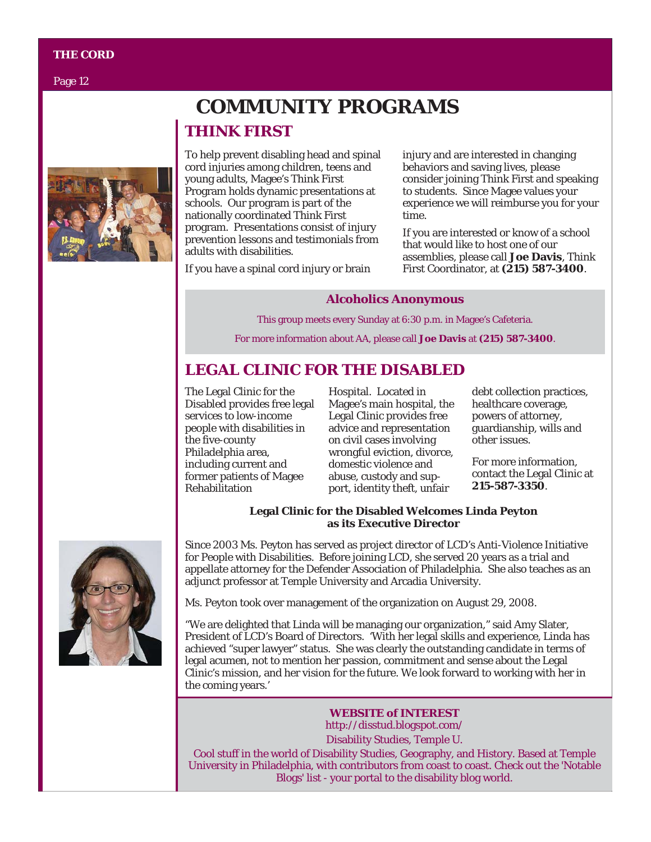Page 12



# **COMMUNITY PROGRAMS THINK FIRST**

To help prevent disabling head and spinal cord injuries among children, teens and young adults, Magee's Think First Program holds dynamic presentations at schools. Our program is part of the nationally coordinated Think First program. Presentations consist of injury prevention lessons and testimonials from adults with disabilities.

If you have a spinal cord injury or brain

injury and are interested in changing behaviors and saving lives, please consider joining Think First and speaking to students. Since Magee values your experience we will reimburse you for your time.

If you are interested or know of a school that would like to host one of our assemblies, please call **Joe Davis**, Think First Coordinator, at **(215) 587-3400**.

#### **Alcoholics Anonymous**

This group meets every Sunday at 6:30 p.m. in Magee's Cafeteria. For more information about AA, please call **Joe Davis** at **(215) 587-3400**.

# **LEGAL CLINIC FOR THE DISABLED**

The Legal Clinic for the Disabled provides free legal services to low-income people with disabilities in the five-county Philadelphia area, including current and former patients of Magee Rehabilitation

Hospital. Located in Magee's main hospital, the Legal Clinic provides free advice and representation on civil cases involving wrongful eviction, divorce, domestic violence and abuse, custody and support, identity theft, unfair

debt collection practices, healthcare coverage, powers of attorney, guardianship, wills and other issues.

For more information, contact the Legal Clinic at **215-587-3350**.

#### **Legal Clinic for the Disabled Welcomes Linda Peyton as its Executive Director**



Since 2003 Ms. Peyton has served as project director of LCD's Anti-Violence Initiative for People with Disabilities. Before joining LCD, she served 20 years as a trial and appellate attorney for the Defender Association of Philadelphia. She also teaches as an adjunct professor at Temple University and Arcadia University.

Ms. Peyton took over management of the organization on August 29, 2008.

"We are delighted that Linda will be managing our organization," said Amy Slater, President of LCD's Board of Directors. 'With her legal skills and experience, Linda has achieved "super lawyer" status. She was clearly the outstanding candidate in terms of legal acumen, not to mention her passion, commitment and sense about the Legal Clinic's mission, and her vision for the future. We look forward to working with her in the coming years.'

> **WEBSITE of INTEREST**  http://disstud.blogspot.com/ Disability Studies, Temple U.

Cool stuff in the world of Disability Studies, Geography, and History. Based at Temple University in Philadelphia, with contributors from coast to coast. Check out the 'Notable Blogs' list - your portal to the disability blog world.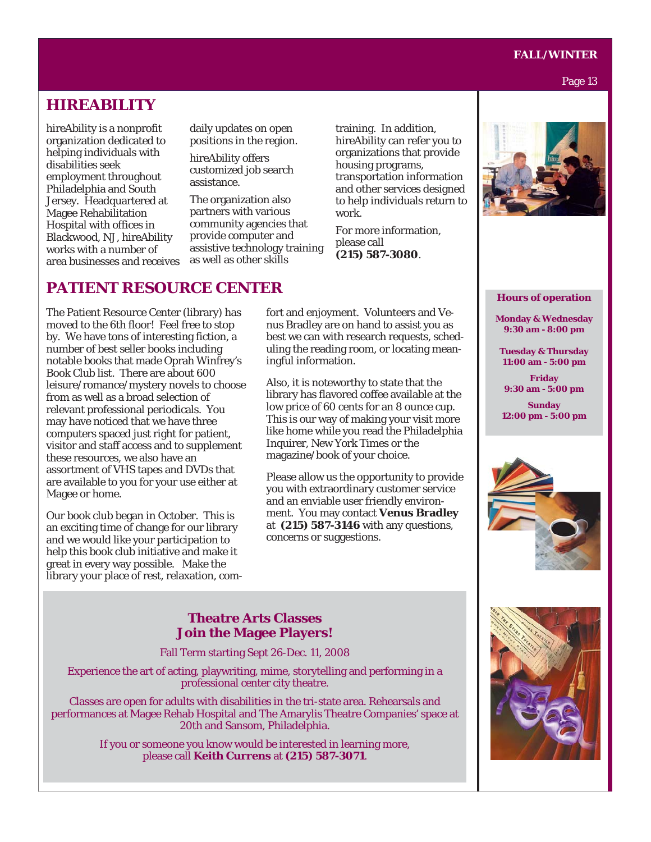#### **FALL/WINTER**

#### Page 13

## **HIREABILITY**

hireAbility is a nonprofit organization dedicated to helping individuals with disabilities seek employment throughout Philadelphia and South Jersey. Headquartered at Magee Rehabilitation Hospital with offices in Blackwood, NJ, hireAbility works with a number of area businesses and receives daily updates on open positions in the region.

hireAbility offers customized job search assistance.

The organization also partners with various community agencies that provide computer and assistive technology training as well as other skills

training. In addition, hireAbility can refer you to organizations that provide housing programs, transportation information and other services designed to help individuals return to work.

For more information, please call **(215) 587-3080**.

## **PATIENT RESOURCE CENTER**

The Patient Resource Center (library) has moved to the 6th floor! Feel free to stop by. We have tons of interesting fiction, a number of best seller books including notable books that made Oprah Winfrey's Book Club list. There are about 600 leisure/romance/mystery novels to choose from as well as a broad selection of relevant professional periodicals. You may have noticed that we have three computers spaced just right for patient, visitor and staff access and to supplement these resources, we also have an assortment of VHS tapes and DVDs that are available to you for your use either at Magee or home.

Our book club began in October. This is an exciting time of change for our library and we would like your participation to help this book club initiative and make it great in every way possible. Make the library your place of rest, relaxation, comfort and enjoyment. Volunteers and Venus Bradley are on hand to assist you as best we can with research requests, scheduling the reading room, or locating meaningful information.

Also, it is noteworthy to state that the library has flavored coffee available at the low price of 60 cents for an 8 ounce cup. This is our way of making your visit more like home while you read the Philadelphia Inquirer, New York Times or the magazine/book of your choice.

Please allow us the opportunity to provide you with extraordinary customer service and an enviable user friendly environment. You may contact **Venus Bradley** at **(215) 587-3146** with any questions, concerns or suggestions.



**Hours of operation**

**Monday & Wednesday 9:30 am - 8:00 pm** 

**Tuesday & Thursday 11:00 am - 5:00 pm** 

**Friday 9:30 am - 5:00 pm** 

**Sunday 12:00 pm - 5:00 pm** 





### **Theatre Arts Classes Join the Magee Players!**

Fall Term starting Sept 26-Dec. 11, 2008

Experience the art of acting, playwriting, mime, storytelling and performing in a professional center city theatre.

Classes are open for adults with disabilities in the tri-state area. Rehearsals and performances at Magee Rehab Hospital and The Amarylis Theatre Companies' space at 20th and Sansom, Philadelphia.

> If you or someone you know would be interested in learning more, please call **Keith Currens** at **(215) 587-3071**.